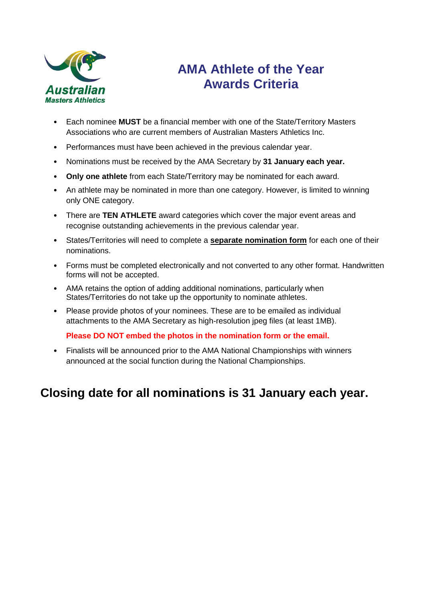

# **AMA Athlete of the Year Awards Criteria**

- Each nominee **MUST** be a financial member with one of the State/Territory Masters Associations who are current members of Australian Masters Athletics Inc.
- Performances must have been achieved in the previous calendar year.
- Nominations must be received by the AMA Secretary by **31 January each year.**
- **Only one athlete** from each State/Territory may be nominated for each award.
- An athlete may be nominated in more than one category. However, is limited to winning only ONE category.
- There are **TEN ATHLETE** award categories which cover the major event areas and recognise outstanding achievements in the previous calendar year.
- States/Territories will need to complete a **separate nomination form** for each one of their nominations.
- Forms must be completed electronically and not converted to any other format. Handwritten forms will not be accepted.
- AMA retains the option of adding additional nominations, particularly when States/Territories do not take up the opportunity to nominate athletes.
- Please provide photos of your nominees. These are to be emailed as individual attachments to the AMA Secretary as high-resolution jpeg files (at least 1MB).

**Please DO NOT embed the photos in the nomination form or the email.**

• Finalists will be announced prior to the AMA National Championships with winners announced at the social function during the National Championships.

## **Closing date for all nominations is 31 January each year.**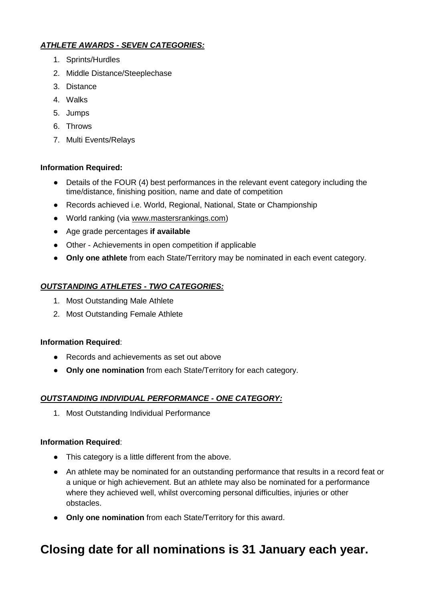### *ATHLETE AWARDS - SEVEN CATEGORIES:*

- 1. Sprints/Hurdles
- 2. Middle Distance/Steeplechase
- 3. Distance
- 4. Walks
- 5. Jumps
- 6. Throws
- 7. Multi Events/Relays

### **Information Required:**

- Details of the FOUR (4) best performances in the relevant event category including the time/distance, finishing position, name and date of competition
- Records achieved i.e. World, Regional, National, State or Championship
- World ranking (via [www.mastersrankings.com\)](http://www.mastersrankings.com/)
- Age grade percentages **if available**
- Other Achievements in open competition if applicable
- **Only one athlete** from each State/Territory may be nominated in each event category.

### *OUTSTANDING ATHLETES - TWO CATEGORIES:*

- 1. Most Outstanding Male Athlete
- 2. Most Outstanding Female Athlete

### **Information Required**:

- Records and achievements as set out above
- **Only one nomination** from each State/Territory for each category.

### *OUTSTANDING INDIVIDUAL PERFORMANCE - ONE CATEGORY:*

1. Most Outstanding Individual Performance

### **Information Required**:

- This category is a little different from the above.
- An athlete may be nominated for an outstanding performance that results in a record feat or a unique or high achievement. But an athlete may also be nominated for a performance where they achieved well, whilst overcoming personal difficulties, injuries or other obstacles.
- **Only one nomination** from each State/Territory for this award.

# **Closing date for all nominations is 31 January each year.**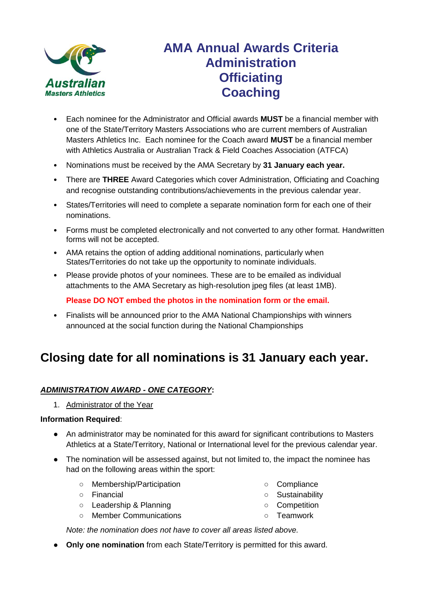

## **AMA Annual Awards Criteria Administration Officiating Coaching**

- Each nominee for the Administrator and Official awards **MUST** be a financial member with one of the State/Territory Masters Associations who are current members of Australian Masters Athletics Inc. Each nominee for the Coach award **MUST** be a financial member with Athletics Australia or Australian Track & Field Coaches Association (ATFCA)
- Nominations must be received by the AMA Secretary by **31 January each year.**
- There are **THREE** Award Categories which cover Administration, Officiating and Coaching and recognise outstanding contributions/achievements in the previous calendar year.
- States/Territories will need to complete a separate nomination form for each one of their nominations.
- Forms must be completed electronically and not converted to any other format. Handwritten forms will not be accepted.
- AMA retains the option of adding additional nominations, particularly when States/Territories do not take up the opportunity to nominate individuals.
- Please provide photos of your nominees. These are to be emailed as individual attachments to the AMA Secretary as high-resolution jpeg files (at least 1MB).

**Please DO NOT embed the photos in the nomination form or the email.**

• Finalists will be announced prior to the AMA National Championships with winners announced at the social function during the National Championships

### **Closing date for all nominations is 31 January each year.**

#### *ADMINISTRATION AWARD - ONE CATEGORY***:**

1. Administrator of the Year

#### **Information Required**:

- An administrator may be nominated for this award for significant contributions to Masters Athletics at a State/Territory, National or International level for the previous calendar year.
- The nomination will be assessed against, but not limited to, the impact the nominee has had on the following areas within the sport:
	- Membership/Participation
	- Financial
	- Leadership & Planning
	- Member Communications

*Note: the nomination does not have to cover all areas listed above.*

- **Only one nomination** from each State/Territory is permitted for this award.
- Compliance
- Sustainability
- Competition
- Teamwork